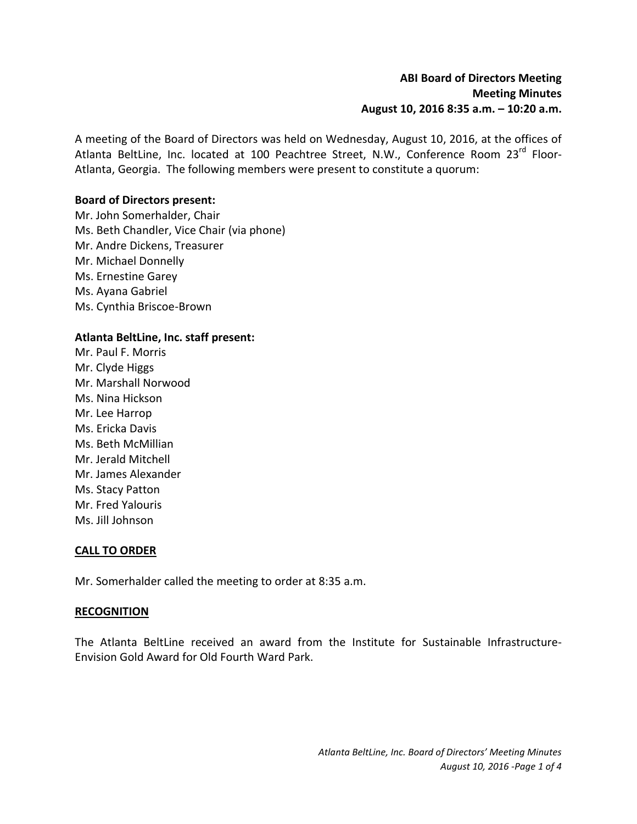A meeting of the Board of Directors was held on Wednesday, August 10, 2016, at the offices of Atlanta BeltLine, Inc. located at 100 Peachtree Street, N.W., Conference Room 23<sup>rd</sup> Floor-Atlanta, Georgia. The following members were present to constitute a quorum:

# **Board of Directors present:**

Mr. John Somerhalder, Chair Ms. Beth Chandler, Vice Chair (via phone) Mr. Andre Dickens, Treasurer Mr. Michael Donnelly Ms. Ernestine Garey Ms. Ayana Gabriel Ms. Cynthia Briscoe-Brown

# **Atlanta BeltLine, Inc. staff present:**

Mr. Paul F. Morris Mr. Clyde Higgs Mr. Marshall Norwood Ms. Nina Hickson Mr. Lee Harrop Ms. Ericka Davis Ms. Beth McMillian Mr. Jerald Mitchell Mr. James Alexander Ms. Stacy Patton Mr. Fred Yalouris Ms. Jill Johnson

## **CALL TO ORDER**

Mr. Somerhalder called the meeting to order at 8:35 a.m.

#### **RECOGNITION**

The Atlanta BeltLine received an award from the Institute for Sustainable Infrastructure-Envision Gold Award for Old Fourth Ward Park.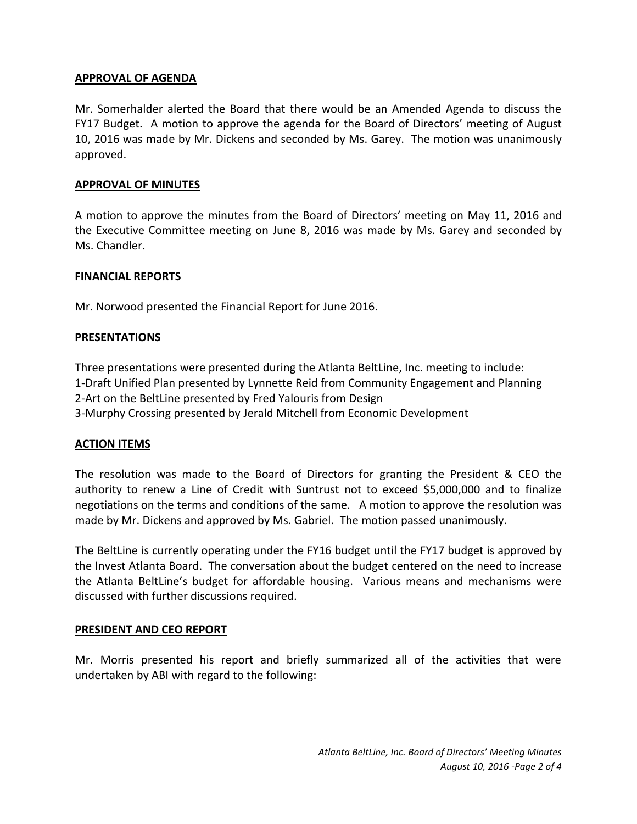## **APPROVAL OF AGENDA**

Mr. Somerhalder alerted the Board that there would be an Amended Agenda to discuss the FY17 Budget. A motion to approve the agenda for the Board of Directors' meeting of August 10, 2016 was made by Mr. Dickens and seconded by Ms. Garey. The motion was unanimously approved.

#### **APPROVAL OF MINUTES**

A motion to approve the minutes from the Board of Directors' meeting on May 11, 2016 and the Executive Committee meeting on June 8, 2016 was made by Ms. Garey and seconded by Ms. Chandler.

### **FINANCIAL REPORTS**

Mr. Norwood presented the Financial Report for June 2016.

### **PRESENTATIONS**

Three presentations were presented during the Atlanta BeltLine, Inc. meeting to include: 1-Draft Unified Plan presented by Lynnette Reid from Community Engagement and Planning 2-Art on the BeltLine presented by Fred Yalouris from Design 3-Murphy Crossing presented by Jerald Mitchell from Economic Development

## **ACTION ITEMS**

The resolution was made to the Board of Directors for granting the President & CEO the authority to renew a Line of Credit with Suntrust not to exceed \$5,000,000 and to finalize negotiations on the terms and conditions of the same. A motion to approve the resolution was made by Mr. Dickens and approved by Ms. Gabriel. The motion passed unanimously.

The BeltLine is currently operating under the FY16 budget until the FY17 budget is approved by the Invest Atlanta Board. The conversation about the budget centered on the need to increase the Atlanta BeltLine's budget for affordable housing. Various means and mechanisms were discussed with further discussions required.

#### **PRESIDENT AND CEO REPORT**

Mr. Morris presented his report and briefly summarized all of the activities that were undertaken by ABI with regard to the following: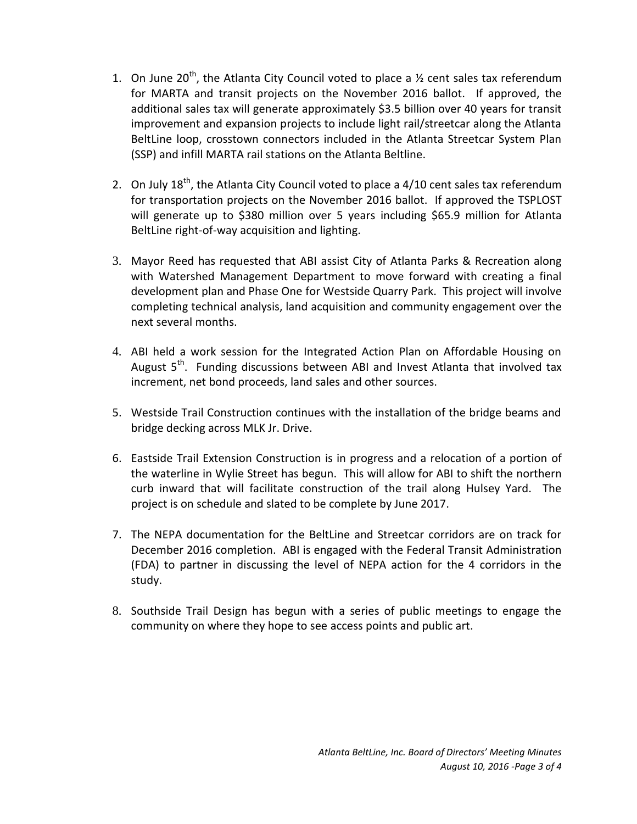- 1. On June 20<sup>th</sup>, the Atlanta City Council voted to place a  $\frac{1}{2}$  cent sales tax referendum for MARTA and transit projects on the November 2016 ballot. If approved, the additional sales tax will generate approximately \$3.5 billion over 40 years for transit improvement and expansion projects to include light rail/streetcar along the Atlanta BeltLine loop, crosstown connectors included in the Atlanta Streetcar System Plan (SSP) and infill MARTA rail stations on the Atlanta Beltline.
- 2. On July 18<sup>th</sup>, the Atlanta City Council voted to place a 4/10 cent sales tax referendum for transportation projects on the November 2016 ballot. If approved the TSPLOST will generate up to \$380 million over 5 years including \$65.9 million for Atlanta BeltLine right-of-way acquisition and lighting.
- 3. Mayor Reed has requested that ABI assist City of Atlanta Parks & Recreation along with Watershed Management Department to move forward with creating a final development plan and Phase One for Westside Quarry Park. This project will involve completing technical analysis, land acquisition and community engagement over the next several months.
- 4. ABI held a work session for the Integrated Action Plan on Affordable Housing on August 5<sup>th</sup>. Funding discussions between ABI and Invest Atlanta that involved tax increment, net bond proceeds, land sales and other sources.
- 5. Westside Trail Construction continues with the installation of the bridge beams and bridge decking across MLK Jr. Drive.
- 6. Eastside Trail Extension Construction is in progress and a relocation of a portion of the waterline in Wylie Street has begun. This will allow for ABI to shift the northern curb inward that will facilitate construction of the trail along Hulsey Yard. The project is on schedule and slated to be complete by June 2017.
- 7. The NEPA documentation for the BeltLine and Streetcar corridors are on track for December 2016 completion. ABI is engaged with the Federal Transit Administration (FDA) to partner in discussing the level of NEPA action for the 4 corridors in the study.
- 8. Southside Trail Design has begun with a series of public meetings to engage the community on where they hope to see access points and public art.